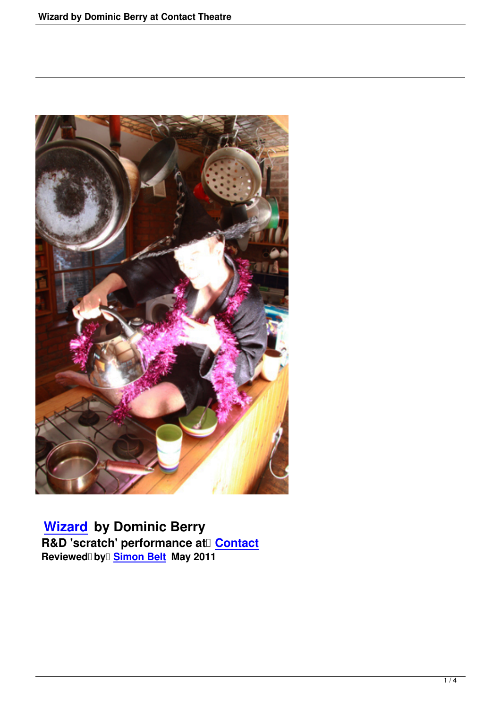

 **Wizard by Dominic Berry R&D 'scratch' performance at Contact** Reviewed**□** by□ <mark>Simon Belt</mark> May 2011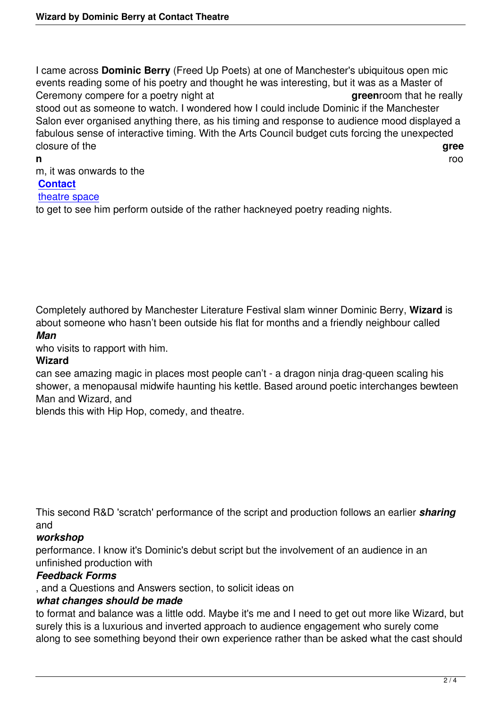I came across **Dominic Berry** (Freed Up Poets) at one of Manchester's ubiquitous open mic events reading some of his poetry and thought he was interesting, but it was as a Master of Ceremony compere for a poetry night at **green**room that he really stood out as someone to watch. I wondered how I could include Dominic if the Manchester Salon ever organised anything there, as his timing and response to audience mood displayed a fabulous sense of interactive timing. With the Arts Council budget cuts forcing the unexpected closure of the **gree** 

#### **n** room and respectively. The contract of the contract of the contract of the contract of the contract of the contract of the contract of the contract of the contract of the contract of the contract of the contract of the m, it was onwards to the **Contact** theatre space to get to see him perform outside of the rather hackneyed poetry reading nights.

Completely authored by Manchester Literature Festival slam winner Dominic Berry, **Wizard** is about someone who hasn't been outside his flat for months and a friendly neighbour called *Man*

who visits to rapport with him.

## **Wizard**

can see amazing magic in places most people can't - a dragon ninja drag-queen scaling his shower, a menopausal midwife haunting his kettle. Based around poetic interchanges bewteen Man and Wizard, and

blends this with Hip Hop, comedy, and theatre.

This second R&D 'scratch' performance of the script and production follows an earlier *sharing* and

## *workshop*

performance. I know it's Dominic's debut script but the involvement of an audience in an unfinished production with

# *Feedback Forms*

, and a Questions and Answers section, to solicit ideas on

## *what changes should be made*

to format and balance was a little odd. Maybe it's me and I need to get out more like Wizard, but surely this is a luxurious and inverted approach to audience engagement who surely come along to see something beyond their own experience rather than be asked what the cast should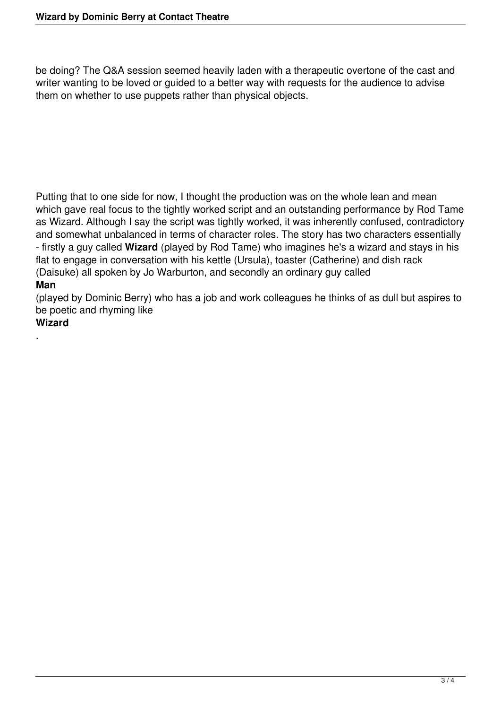be doing? The Q&A session seemed heavily laden with a therapeutic overtone of the cast and writer wanting to be loved or guided to a better way with requests for the audience to advise them on whether to use puppets rather than physical objects.

Putting that to one side for now, I thought the production was on the whole lean and mean which gave real focus to the tightly worked script and an outstanding performance by Rod Tame as Wizard. Although I say the script was tightly worked, it was inherently confused, contradictory and somewhat unbalanced in terms of character roles. The story has two characters essentially - firstly a guy called **Wizard** (played by Rod Tame) who imagines he's a wizard and stays in his flat to engage in conversation with his kettle (Ursula), toaster (Catherine) and dish rack (Daisuke) all spoken by Jo Warburton, and secondly an ordinary guy called **Man**

(played by Dominic Berry) who has a job and work colleagues he thinks of as dull but aspires to be poetic and rhyming like

#### **Wizard**

.